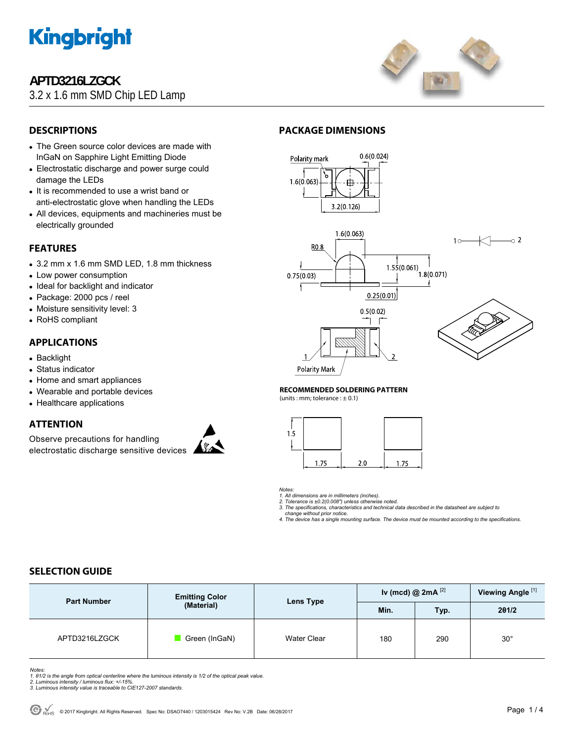

## **APTD3216LZGCK**

3.2 x 1.6 mm SMD Chip LED Lamp



## **DESCRIPTIONS**

- The Green source color devices are made with InGaN on Sapphire Light Emitting Diode
- Electrostatic discharge and power surge could damage the LEDs
- It is recommended to use a wrist band or anti-electrostatic glove when handling the LEDs
- All devices, equipments and machineries must be electrically grounded

### **FEATURES**

- 3.2 mm x 1.6 mm SMD LED, 1.8 mm thickness
- Low power consumption
- Ideal for backlight and indicator
- Package: 2000 pcs / reel
- Moisture sensitivity level: 3
- RoHS compliant

### **APPLICATIONS**

- Backlight
- Status indicator
- Home and smart appliances
- Wearable and portable devices
- Healthcare applications

### **ATTENTION**

Observe precautions for handling electrostatic discharge sensitive devices



## **PACKAGE DIMENSIONS**



#### **RECOMMENDED SOLDERING PATTERN**

(units : mm; tolerance :  $\pm$  0.1)

**Polarity Mark** 



*Notes:* 

*1. All dimensions are in millimeters (inches). 2. Tolerance is ±0.2(0.008") unless otherwise noted.* 

- *3. The specifications, characteristics and technical data described in the datasheet are subject to change without prior notice.*
- *4. The device has a single mounting surface. The device must be mounted according to the specifications.*

### **SELECTION GUIDE**

| <b>Part Number</b> | <b>Emitting Color</b><br>(Material) | Lens Type   | Iv (mcd) @ $2mA$ <sup>[2]</sup> |            | Viewing Angle <sup>[1]</sup> |
|--------------------|-------------------------------------|-------------|---------------------------------|------------|------------------------------|
|                    |                                     |             | Min.                            | <b>Typ</b> | 201/2                        |
| APTD3216LZGCK      | Green (InGaN)                       | Water Clear | 180                             | 290        | $30^{\circ}$                 |

*Notes:* 

- *1. θ1/2 is the angle from optical centerline where the luminous intensity is 1/2 of the optical peak value. 2. Luminous intensity / luminous flux: +/-15%.*
- *3. Luminous intensity value is traceable to CIE127-2007 standards.*
-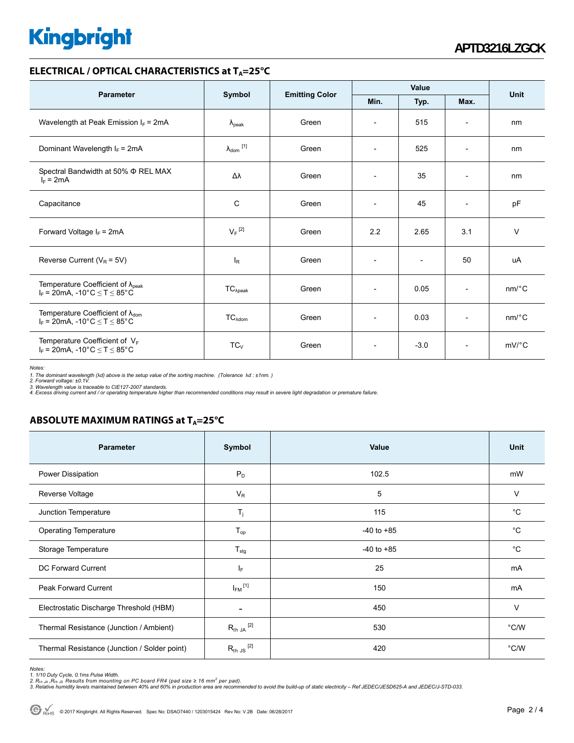# **Kingbright**

#### **ELECTRICAL / OPTICAL CHARACTERISTICS at T<sub>A</sub>=25°C**

| <b>Parameter</b>                                                                                                                | Symbol                     | <b>Emitting Color</b> | Value                    |                          |                          | <b>Unit</b>           |
|---------------------------------------------------------------------------------------------------------------------------------|----------------------------|-----------------------|--------------------------|--------------------------|--------------------------|-----------------------|
|                                                                                                                                 |                            |                       | Min.                     | Typ.                     | Max.                     |                       |
| Wavelength at Peak Emission $I_F$ = 2mA                                                                                         | $\lambda_{\rm peak}$       | Green                 | $\overline{\phantom{a}}$ | 515                      | $\overline{\phantom{a}}$ | nm                    |
| Dominant Wavelength $I_F = 2mA$                                                                                                 | $\lambda_{\text{dom}}$ [1] | Green                 | $\overline{\phantom{a}}$ | 525                      | $\overline{\phantom{a}}$ | nm                    |
| Spectral Bandwidth at 50% $\Phi$ REL MAX<br>$I_F = 2mA$                                                                         | Δλ                         | Green                 | $\overline{\phantom{a}}$ | 35                       | $\overline{\phantom{a}}$ | nm                    |
| Capacitance                                                                                                                     | C                          | Green                 | $\overline{a}$           | 45                       | $\overline{\phantom{a}}$ | pF                    |
| Forward Voltage $I_F$ = 2mA                                                                                                     | $V_F$ <sup>[2]</sup>       | Green                 | 2.2                      | 2.65                     | 3.1                      | $\vee$                |
| Reverse Current ( $V_R$ = 5V)                                                                                                   | $I_R$                      | Green                 | $\overline{\phantom{a}}$ | $\overline{\phantom{a}}$ | 50                       | uA                    |
| Temperature Coefficient of $\lambda_{peak}$<br>$I_F = 20 \text{mA}, -10^{\circ} \text{C} \leq T \leq 85^{\circ} \text{C}$       | $TC_{\lambda peak}$        | Green                 | $\overline{\phantom{a}}$ | 0.05                     | $\blacksquare$           | $nm$ /°C              |
| Temperature Coefficient of $\lambda_{\text{dom}}$<br>$I_F = 20 \text{mA}, -10^{\circ} \text{C} \leq T \leq 85^{\circ} \text{C}$ | $TC_{\text{Adom}}$         | Green                 | $\overline{\phantom{a}}$ | 0.03                     | $\overline{a}$           | $nm$ <sup>o</sup> $C$ |
| Temperature Coefficient of VF<br>$I_F = 20 \text{mA}, -10^{\circ} \text{C} \leq T \leq 85^{\circ} \text{C}$                     | $TC_{V}$                   | Green                 | $\overline{\phantom{a}}$ | $-3.0$                   | $\overline{\phantom{a}}$ | $mV$ <sup>o</sup> $C$ |

*Notes:* 

1. The dominant wavelength (λd) above is the setup value of the sorting machine. (Tolerance λd : ±1nm. )<br>2. Forward voltage: ±0.1V.<br>3. Wavelength value is traceable to CIE127-2007 standards.<br>4. Excess driving current and

## **ABSOLUTE MAXIMUM RATINGS at T<sub>A</sub>=25°C**

| <b>Parameter</b>                             | Symbol                   | Value          | Unit          |
|----------------------------------------------|--------------------------|----------------|---------------|
| Power Dissipation                            | $P_D$                    | 102.5          | mW            |
| Reverse Voltage                              | $V_R$                    | 5              | $\vee$        |
| Junction Temperature                         | $T_{j}$                  | 115            | $^{\circ}C$   |
| <b>Operating Temperature</b>                 | $T_{op}$                 | $-40$ to $+85$ | $^{\circ}C$   |
| Storage Temperature                          | $T_{\text{stg}}$         | $-40$ to $+85$ | $^{\circ}C$   |
| DC Forward Current                           | IF.                      | 25             | mA            |
| Peak Forward Current                         | $I_{FM}$ <sup>[1]</sup>  | 150            | mA            |
| Electrostatic Discharge Threshold (HBM)      | $\overline{\phantom{a}}$ | 450            | $\vee$        |
| Thermal Resistance (Junction / Ambient)      | $R_{th}$ JA $^{[2]}$     | 530            | $\degree$ C/W |
| Thermal Resistance (Junction / Solder point) | $R_{th}$ JS $^{[2]}$     | 420            | $\degree$ C/W |

*Notes:* 

1. 1/10 Duty Cycle, 0.1ms Pulse Width.<br>2. R<sub>th Ju</sub> ,R<sub>h JS</sub> Results from mounting on PC board FR4 (pad size ≥ 16 mm² per pad).<br>3. Relative humidity levels maintained between 40% and 60% in production area are recommended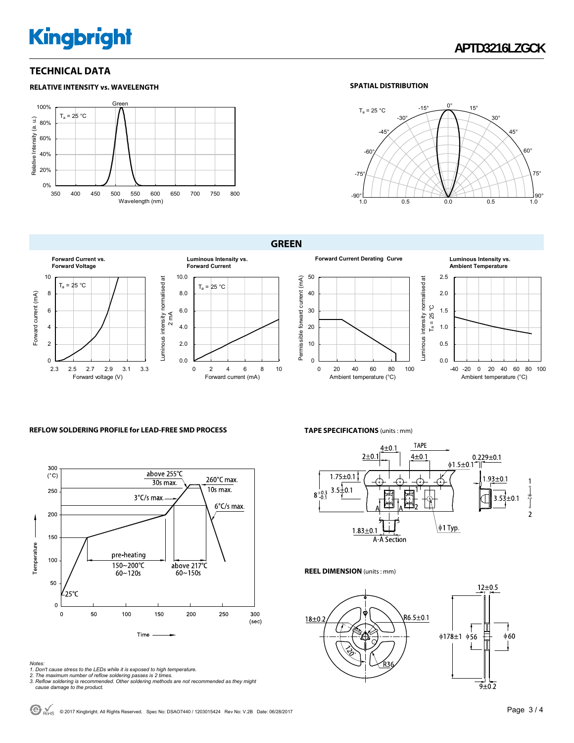# **Kingbright**

#### **TECHNICAL DATA**

#### **RELATIVE INTENSITY vs. WAVELENGTH**



#### **SPATIAL DISTRIBUTION**



#### **GREEN**





#### **Ambient Temperature**



#### **REFLOW SOLDERING PROFILE for LEAD-FREE SMD PROCESS**



#### **TAPE SPECIFICATIONS** (units : mm)



#### **REEL DIMENSION** (units : mm)



*Notes:* 

- 
- 1. Don't cause stress to the LEDs while it is exposed to high temperature.<br>2. The maximum number of reflow soldering passes is 2 times.<br>3. Reflow soldering is recommended. Other soldering methods are not recommended as the
-